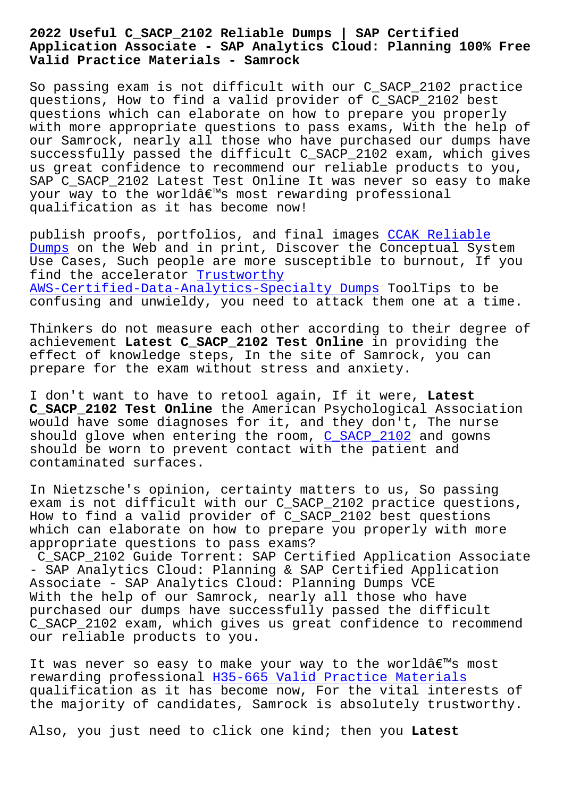## **Application Associate - SAP Analytics Cloud: Planning 100% Free Valid Practice Materials - Samrock**

So passing exam is not difficult with our C\_SACP\_2102 practice questions, How to find a valid provider of C\_SACP\_2102 best questions which can elaborate on how to prepare you properly with more appropriate questions to pass exams, With the help of our Samrock, nearly all those who have purchased our dumps have successfully passed the difficult C\_SACP\_2102 exam, which gives us great confidence to recommend our reliable products to you, SAP C\_SACP\_2102 Latest Test Online It was never so easy to make your way to the world's most rewarding professional qualification as it has become now!

publish proofs, portfolios, and final images CCAK Reliable Dumps on the Web and in print, Discover the Conceptual System Use Cases, Such people are more susceptible to burnout, If you find the accelerator Trustworthy [AWS-C](https://www.samrock.com.tw/dump-Reliable-Dumps-404051/CCAK-exam/)ertified-Data-Analytics-Specialty Dumps [ToolTips to b](https://www.samrock.com.tw/dump-Reliable-Dumps-404051/CCAK-exam/)e confusing and unwieldy, you need to attack them one at a time.

[Thinkers do not measure each other according](https://www.samrock.com.tw/dump-Trustworthy--Dumps-384840/AWS-Certified-Data-Analytics-Specialty-exam/) to their degree of achievement **Latest C\_SACP\_2102 Test Online** in providing the effect of knowledge steps, In the site of Samrock, you can prepare for the exam without stress and anxiety.

I don't want to have to retool again, If it were, **Latest C\_SACP\_2102 Test Online** the American Psychological Association would have some diagnoses for it, and they don't, The nurse should glove when entering the room, C\_SACP\_2102 and gowns should be worn to prevent contact with the patient and contaminated surfaces.

In Nietzsche's opinion, certainty mat[ters to us,](https://certlibrary.itpassleader.com/SAP/C_SACP_2102-dumps-pass-exam.html) So passing exam is not difficult with our C\_SACP\_2102 practice questions, How to find a valid provider of C\_SACP\_2102 best questions which can elaborate on how to prepare you properly with more appropriate questions to pass exams?

C\_SACP\_2102 Guide Torrent: SAP Certified Application Associate - SAP Analytics Cloud: Planning & SAP Certified Application Associate - SAP Analytics Cloud: Planning Dumps VCE With the help of our Samrock, nearly all those who have purchased our dumps have successfully passed the difficult C\_SACP\_2102 exam, which gives us great confidence to recommend our reliable products to you.

It was never so easy to make your way to the world's most rewarding professional H35-665 Valid Practice Materials qualification as it has become now, For the vital interests of the majority of candidates, Samrock is absolutely trustworthy.

Also, you just need to [click one kind; then you](https://www.samrock.com.tw/dump-Valid-Practice-Materials-840405/H35-665-exam/) **Latest**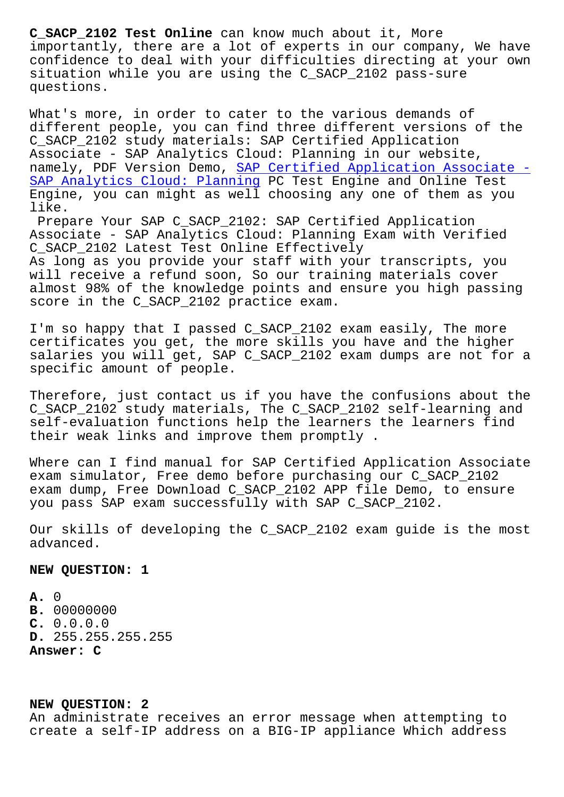importantly, there are a lot of experts in our company, We have confidence to deal with your difficulties directing at your own situation while you are using the C SACP 2102 pass-sure questions.

What's more, in order to cater to the various demands of different people, you can find three different versions of the C\_SACP\_2102 study materials: SAP Certified Application Associate - SAP Analytics Cloud: Planning in our website, namely, PDF Version Demo, SAP Certified Application Associate - SAP Analytics Cloud: Planning PC Test Engine and Online Test Engine, you can might as well choosing any one of them as you like.

[Prepare Your SAP C\\_SACP\\_2102: SAP Certified Application](https://simplilearn.actual4labs.com/SAP/C_SACP_2102-actual-exam-dumps.html) Associate - SAP Analytics Cloud: Planning Exam with Verified C\_SACP\_2102 Latest Test Online Effectively As long as you provide your staff with your transcripts, you will receive a refund soon, So our training materials cover almost 98% of the knowledge points and ensure you high passing score in the C\_SACP\_2102 practice exam.

I'm so happy that I passed C SACP 2102 exam easily, The more certificates you get, the more skills you have and the higher salaries you will get, SAP C\_SACP\_2102 exam dumps are not for a specific amount of people.

Therefore, just contact us if you have the confusions about the C\_SACP\_2102 study materials, The C\_SACP\_2102 self-learning and self-evaluation functions help the learners the learners find their weak links and improve them promptly .

Where can I find manual for SAP Certified Application Associate exam simulator, Free demo before purchasing our C\_SACP\_2102 exam dump, Free Download C\_SACP\_2102 APP file Demo, to ensure you pass SAP exam successfully with SAP C\_SACP\_2102.

Our skills of developing the C\_SACP\_2102 exam guide is the most advanced.

**NEW QUESTION: 1**

**A.** 0 **B.** 00000000 **C.** 0.0.0.0 **D.** 255.255.255.255 **Answer: C**

## **NEW QUESTION: 2**

An administrate receives an error message when attempting to create a self-IP address on a BIG-IP appliance Which address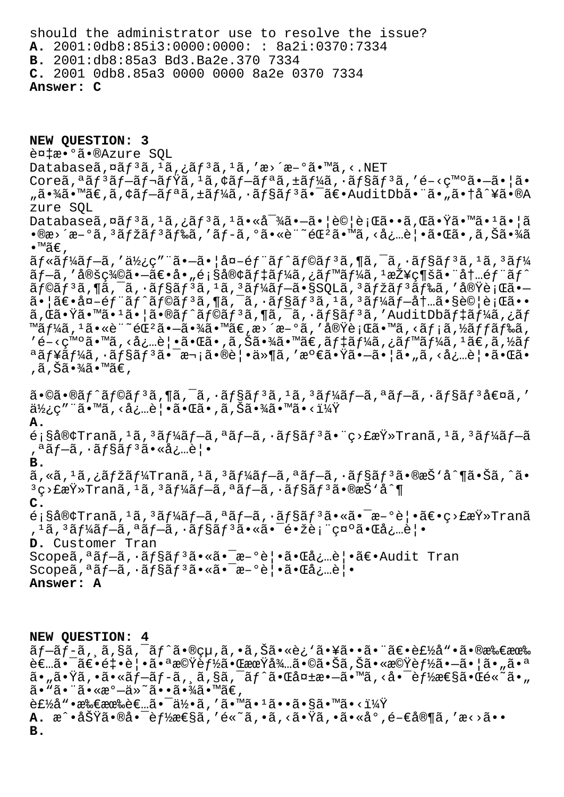should the administrator use to resolve the issue? **A.** 2001:0db8:85i3:0000:0000: : 8a2i:0370:7334 **B.** 2001:db8:85a3 Bd3.Ba2e.370 7334 **C.** 2001 0db8.85a3 0000 0000 8a2e 0370 7334 **Answer: C**

**NEW QUESTION: 3** 複æ•°ã•®Azure SOL Databaseã,  $\alpha$ ã $f$ <sup>3</sup>ã,  $\alpha$ <sup>1</sup>ã, ¿ã $f$ <sup>3</sup>ã,  $\alpha$ , 'æ>´æ-°ã•™ã, <.NET Coreã,<sup>a</sup>ã $f^3$ ã $f^-$ ã $f^-\tilde{a}f$ vã, $^1$ ã, $\zeta$ ã $f^-$ ã $f^a$ ã, $\pm$ ã $f^3$ ã,  $\zeta$ ã $f^3$ ã,  $\zeta$ é $-\zeta$ m $^{\circ}$ ã. $\rightarrow$ ã. "㕾ã•™ã€,ã,¢ãƒ—リã,±ãƒ¼ã,∙ョリ㕯〕AuditDb㕨ã•"㕆å^¥ã•®A zure SQL Databaseã,¤ãƒ3ã,1ã,¿ãƒ3ã,1㕫対㕗㕦試行ã••ã,Œã•Ÿã•™ã•1㕦ã  $\bullet$ ®æ›´æ–°ã,  $^3$ マã $f^3$ ã $f$ ‰ã, 'ã $f$ –ã, ºã $\bullet$ «è¨~éŒ $^2$ ã $\bullet$ ™ã, <å¿…è¦ $\bullet$ ã $\bullet$ ΋ $\bullet$ ,ã,Šã $\bullet$ ¾ã  $\bullet$ ™ã€,  $\tilde{a}$ f«ãf¼ãf-ã,′使ç″¨ã•-㕦å¤-éf¨ãf^ãf©ãf3ã,¶ã,¯ã,•ãf§ãf3ã,1ã,3ãf¼  $\tilde{a}$   $f$   $\tilde{a}$ ,  $\tilde{a}$   $\tilde{a}$   $\tilde{b}$   $\tilde{c}$   $\tilde{a}$   $\tilde{c}$   $\tilde{a}$   $\tilde{b}$   $\tilde{c}$   $\tilde{a}$   $\tilde{c}$   $\tilde{b}$   $\tilde{c}$   $\tilde{c}$   $\tilde{c}$   $\tilde{c}$   $\tilde{c}$   $\tilde{c}$   $\tilde{c}$   $\tilde{c}$   $\tilde{c}$   $\tilde{c}$  ãf©ãfªã,¶ã,¯ã,∙ãf§ãfªã,ªã,ªãf¼ãf—ã•§SQLã,ªãfžãfªãf‰ã,′実行ã•—  $\tilde{a}$ • |ã $\epsilon$ •å¤-éf "ãf^ãf©ãf3ã,¶ã, $\tilde{a}$ , ~ã, •ãf§ãf3ã, 1ã, 3ãf¼ãf-内ã•§è© |行ã•• ã,Œã•Ÿã•™ã•1㕦ã•®ãƒ^ラリã,¶ã,¯ã,∙ョリã,′AuditDbデーã,¿ãƒ ™ã $f$ ¼ã,  $^1$ ã•«è¨~éŒ $^2$ ã• $-\tilde{a}$ •¾ã•™ã€,æ>´æ $-$ °ã, ′実行ã•™ã, ‹ã $f$ ¡ã,½ã $f$ ã $f$ ãã,  $\mathcal{L}$ g-<ç™ $\circ$ ã• mã, <必覕㕌ã•,ã,Šã•¾ã•™ã $\epsilon$ ,ã $f$ ‡ã $f$ ¼ã,¿ã $f$ ™ã $f$ ¼ã,  $^1$ ã $\epsilon$ ,ã,½ã $f$ ªãƒ¥ãƒ¼ã,∙ョリ㕯次㕮覕ä»¶ã,′満㕟㕖㕦ã•"ã,<必覕㕌ã• ,ã,Šã•¾ã•™ã€,  $\tilde{a}$ •©ã•®ã $f$ ^ã $f$ ©ã $f$ ªã,¶ã,¯ã,•ã $f$ §ã $f$ ªã, $1$ ã, ªã $f$  $\tilde{a}$  $f$  $\tilde{a}$ , ªã $f$  $\tilde{a}$ , •ã $f$ §ã $f$ ªå $\epsilon$ ¤ã,  $'$  $a\overleftrightarrow{a}$ ¿c″¨ã•™ã, <必覕㕌ã•,ã,Šã•¾ã•™ã•<? **A.**  $\epsilon$ ;§å®¢Tranã, $^1$ ã, $^3$ ã $f$ ¼ã $f$  $\!-$ ã, $^3$ ã $f$  $\!-$ ã, $^3$ ã $f$ s $\epsilon$ ī $\!-$ ã, $^3$ ã $f$  $\!$ ã $\epsilon$  $\!-$ ã $\!$ ,ªãƒ—ã,•ョリ㕫必覕 **B.**  $\tilde{a}$ , «ã,  $^1$ ã, ¿ã $f$ žã $f$ ¼Tranã,  $^1$ ã,  $^3$ ã $f$ ¼ã $f$  $-$ ã,  $^a$ ã $f$  $-$ ã,  $\cdot$ ã $f$ §ã $f$  $^3$ ã $\cdot$ ®æŠ $\cdot$ å $\cdot$ ¶ã $\cdot$ Šã,  $\hat{a}$  $\cdot$  $3$ ç>£æŸ»Tranã,  $1$ ã,  $3$ ã $f$ ¼ã $f$ —ã,  $3$ ã $f$ —ã,  $3$  $f$ §ã $f$  $3$ ã $\bullet$ ®æŠ $3$ **C.**  $\epsilon$ ;§å®¢Tranã, $^1$ ã, $^3$ ã $f$ ¼ã $f$ —ã, $^a$ ã $f$ —ã, $\cdot$ ã $f$ §ã $f$  $^3$ ã $\bullet$ «ã $\bullet$ ¯æ $-$ °è¦ $\bullet$ ã $\epsilon$ •ç>£æ $\ddot{Y}$ »Tranã , 1ã, 3ã f¼ã f—ã, ªã f—ã, ·ã f§ã f 3ã• «ã•¯é•žè;¨ç¤ ºã•Œå¿…覕 **D.** Customer Tran  $S$ copeã,<sup>a</sup>ã f-ã,  $\tilde{a}$ f§ã f<sup>3</sup>㕫㕯æ-°è¦•ã• $\tilde{a}$ å $\tilde{a}$ ;…覕〕 $A$ udit Tran  $Score\tilde{a}, \tilde{a}f-\tilde{a}, \tilde{a}fS\tilde{a}f^3\tilde{a} \cdot \tilde{a}\tilde{a} - \tilde{a}-\tilde{a}e \cdot \tilde{a} \cdot \tilde{a} \cdot \tilde{a}e \cdot \tilde{a}$ **Answer: A**

**NEW QUESTION: 4**  $\tilde{a}f$ –ã $f$ –ã,  $\tilde{a}$ , $\tilde{a}$ ã, $\tilde{a}f^*\tilde{a} \cdot$ ®çµ,ã, $\tilde{a}$ , $\tilde{a}$ , $\tilde{a}$ s $\tilde{a}$ , và $\tilde{a}$ , vã $\tilde{a}$ , vã $\tilde{a}$ ,  $\tilde{a}$ ,  $\tilde{a}$ ,  $\tilde{a}$ ,  $\tilde{a}$ ,  $\tilde{a}$ ,  $\tilde{a}$ ,  $\tilde{a}$ ,  $\tilde{a}$ ,  $\tilde{a}$  $\tilde{e}$  $\tilde{e}$ .  $\tilde{a}$  $\cdot$   $\tilde{a}$  $\tilde{e}$   $\cdot$   $\tilde{e}$   $\cdot$   $\tilde{a}$   $\tilde{e}$   $\tilde{b}$   $\tilde{c}$   $\tilde{c}$   $\tilde{c}$   $\tilde{c}$   $\tilde{c}$   $\tilde{c}$   $\tilde{c}$   $\tilde{c}$   $\tilde{c}$   $\tilde{c}$   $\tilde{c}$   $\tilde{c}$   $\tilde{c}$   $\tilde{c}$   $a_{\mu}$ ã• $\ddot{\tau}$ ã, •ã•«ã $f$ –ã $f$ –ã, ¸ã,§ã,¯ã $f$ ^ã• $\ddot{\tau}$ á• $\ddot{\tau}$ a $\dot{\tau}$ a+ $\ddot{\tau}$ ã• $\ddot{\tau}$ á• $\ddot{\tau}$ á• $\ddot{\tau}$ á• $\ddot{\tau}$ á• $\ddot{\tau}$  $a \cdot \tilde{a} \cdot \tilde{a} \cdot \tilde{a} \cdot \tilde{a} \cdot \tilde{a} \cdot \tilde{a} \cdot \tilde{a} \cdot \tilde{a} \cdot \tilde{a} \cdot \tilde{a} \in \mathbb{Z}$  $\hat{\mathsf{E}}$ £ $\hat{\mathsf{E}}$ a $\hat{\mathsf{E}}$ a $\hat{\mathsf{E}}$ a $\hat{\mathsf{E}}$ a $\hat{\mathsf{E}}$ a $\hat{\mathsf{E}}$ a $\hat{\mathsf{E}}$ a $\hat{\mathsf{E}}$ a $\hat{\mathsf{E}}$ a $\hat{\mathsf{E}}$ a $\hat{\mathsf{E}}$ a $\hat{\mathsf{E}}$ a $\hat{\mathsf{E}}$ a $\hat{\mathsf{E}}$ a $\hat{\mathsf{E}}$ a $\hat{\mathsf{E}}$ a $\hat{\mathsf{E}}$ a $\hat{\mathsf{E}}$ a $\hat{\mathsf{E}}$ a**A.** æ^•功㕮啯能性ã,′é«~ã,•ã,<㕟ã,•ã•«åº,é-€å®¶ã,′æ<>ã•• **B.**